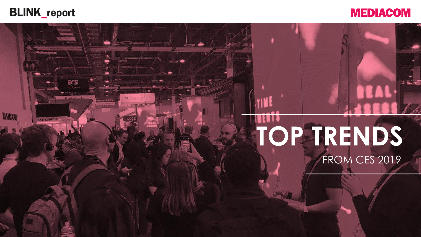

**ELITEGROUP** 

HANNE

Stad-Lindon

**BARKET** 



# **TOP TRENDS** FROM CES 2019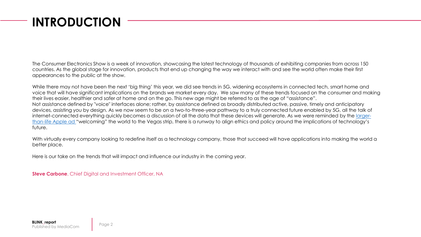### **INTRODUCTION**

The Consumer Electronics Show is a week of innovation, showcasing the latest technology of thousands of exhibiting companies from across 150 countries. As the global stage for innovation, products that end up changing the way we interact with and see the world often make their first appearances to the public at the show.

While there may not have been the next 'big thing' this year, we did see trends in 5G, widening ecosystems in connected tech, smart home and voice that will have significant implications on the brands we market every day. We saw many of these trends focused on the consumer and making their lives easier, healthier and safer at home and on the go. This new age might be referred to as the age of "assistance". Not assistance defined by "voice" interfaces alone; rather, by assistance defined as broadly distributed active, passive, timely and anticipatory devices, assisting you by design. As we now seem to be on a two-to-three-year pathway to a truly connected future enabled by 5G, all the talk of [internet-connected everything quickly becomes a discussion of all the data that these devices will generate. As we were reminded](https://www.engadget.com/2019/01/05/apple-ces-2019-privacy-advertising/) by the largerthan-life Apple ad "welcoming" the world to the Vegas strip, there is a runway to align ethics and policy around the implications of technology's future.

With virtually every company looking to redefine itself as a technology company, those that succeed will have applications into making the world a better place.

Here is our take on the trends that will impact and influence our industry in the coming year.

**Steve Carbone**, Chief Digital and Investment Officer, NA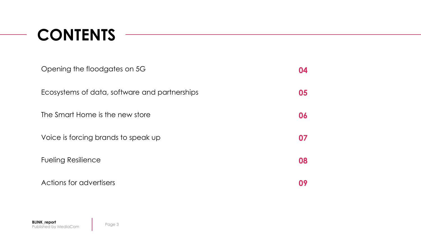# **CONTENTS**

| Opening the floodgates on 5G                  | 04 |
|-----------------------------------------------|----|
| Ecosystems of data, software and partnerships | 05 |
| The Smart Home is the new store               | 06 |
| Voice is forcing brands to speak up           | 07 |
| <b>Fueling Resilience</b>                     | 08 |
| Actions for advertisers                       |    |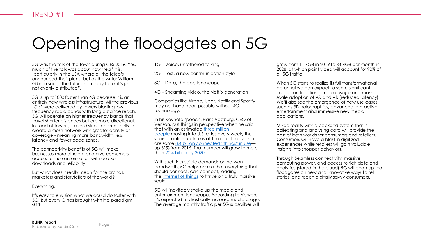### Opening the floodgates on 5G

5G was the talk of the town during CES 2019. Yes, much of the talk was about how 'real' it is, (particularly in the USA where all the telco's announced their plans) but as the writer William Gibson said, "The future is already here, it's just not evenly distributed".

5G is up to100x faster than 4G because it is an entirely new wireless infrastructure. All the previous 'G's' were delivered by towers blasting low frequency radio bands with long distance reach. 5G will operate on higher frequency bands that travel shorter distances but are more directional. Instead of towers, it uses distributed small cells to create a mesh network with greater density of coverage - meaning more bandwidth, less latency and fewer dead zones.

The connectivity benefits of 5G will make businesses more efficient and give consumers access to more information with quicker downloads and reliability.

But what does it really mean for the brands, marketers and storytellers of the world?

Everything.

It's easy to envision what we could do faster with 5G. But every G has brought with it a paradiam shift:

1G – Voice, untethered talking

2G – Text, a new communication style

3G – Data, the app landscape

4G – Streaming video, the Netflix generation

Companies like Airbnb, Uber, Netflix and Spotify may not have been possible without 4G technology.

In his Keynote speech, Hans Vestburg, CEO of Verizon, put things in perspective when he said that with an estimated three million people [moving into U.S. cities every](https://www.iom.int/sites/default/files/country/docs/syria/IOM-World-Migration-Report-2015-Overview.pdf) week, the strain on infrastructure is all too real. Today, there are some [8.4 billion connected "things" in use](https://www.verizon.com/about/sites/default/files/Verizon-2017-State-of-the-Market-IoT-Report.pdf) up 31% from 2016. That number will grow to more than [20.4 billion by 2020.](https://www.verizon.com/about/news/how-fourth-industrial-revolution-will-change-economy)

With such incredible demands on network bandwidth, 5G helps ensure that everything that should connect, can connect, leading the [Internet of Things](http://www.verizonenterprise.com/products/internet-of-things/) to thrive on a truly massive scale.

5G will inevitably shake up the media and entertainment landscape. According to Verizon, it's expected to drastically increase media usage. The average monthly traffic per 5G subscriber will

grow from 11.7GB in 2019 to 84.4GB per month in 2028, at which point video will account for 90% of all 5G traffic.

When 5G starts to realize its full transformational potential we can expect to see a significant impact on traditional media usage and massscale adoption of AR and VR (reduced latency). We'll also see the emergence of new use cases such as 3D holographics, advanced interactive entertainment and immersive new media applications.

Mixed reality with a backend system that is collecting and analyzing data will provide the best of both worlds for consumers and retailers. Consumers will have a blast in digitized experiences while retailers will gain valuable insights into shopper behaviors.

Through Seamless connectivity, massive computing power, and access to rich data and analytics (stored in the cloud) 5G will open up the floodgates on new and innovative ways to tell stories, and reach digitally savvy consumers.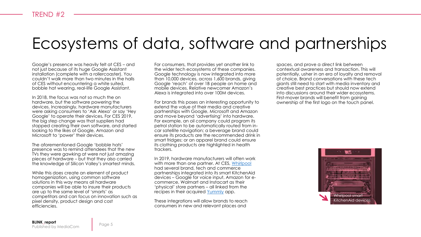### Ecosystems of data, software and partnerships

Google's presence was heavily felt at CES – and not just because of its huge Google Assistant installation (complete with a rollercoaster). You couldn't walk more than two minutes in the halls of CES without encountering a white suited, bobble hat wearing, real-life Google Assistant.

In 2018, the focus was not so much the on hardware, but the software powering the devices. Increasingly, hardware manufacturers were asking consumers to 'Ask Alexa' or say 'Hey Google' to operate their devices**.** For CES 2019, the big step change was that suppliers had stopped creating their own software, and started looking to the likes of Google, Amazon and Microsoft to 'power' their devices.

The aforementioned Google 'bobble hats' presence was to remind attendees that the new TVs they were gawking at were not just amazing pieces of hardware – but that they also carried the knowledge of Silicon Valley's smartest minds.

While this does create an element of product homogenization, using common software solutions in this way means all hardware companies will be able to insure their products are up to the same level of 'smarts' as competitors and can focus on innovation such as pixel density, product design and cost efficiencies.

For consumers, that provides yet another link to the wider tech ecosystems of these companies. Google technology is now integrated into more than 10,000 devices, across 1,600 brands, giving Google 'reach' of over 1B people on home and mobile devices. Relative newcomer Amazon's Alexa is integrated into over 100M devices.

For brands this poses an interesting opportunity to extend the value of their media and creative partnerships with Google, Microsoft and Amazon and move beyond 'advertising' into hardware. For example, an oil company could program its petrol station to be automatically routed from incar satellite navigation; a beverage brand could ensure its products are the recommended drink in smart fridges; or an apparel brand could ensure its clothing products are highlighted in health trackers.

In 2019, hardware manufacturers will often work with more than one partner. At CES, [Whirlpool](https://www.whirlpoolcorp.com/whirlpool-corporation-earns-five-ces-2019-innovation-awards/) had several brand, tech and commerce partnerships integrated into its smart KitchenAid devices – Google for voice input, Amazon for ecommerce, Walmart and Instacart as their 'physical' store partners – all linked from the recipes in their acquired [Yummly](https://www.yummly.com/mobile/) app.

These integrations will allow brands to reach consumers in new and relevant places and

spaces, and prove a direct link between contextual awareness and transaction. This will potentially, usher in an era of loyalty and removal of choice. Brand conversations with these tech giants still need to start with media inventory and creative best practices but should now extend into discussions around their wider ecosystems. First-mover brands will benefit from gaining ownership of the first logo on the touch panel.

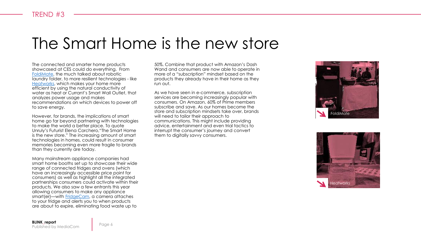### The Smart Home is the new store

The connected and smarter home products showcased at CES could do everything. From [FoldiMate](https://foldimate.com/), the much talked about robotic laundry folder, to more resilient technologies - like [Heatworks,](https://myheatworks.com/) which makes your home more efficient by using the natural conductivity of water as heat or Currant's Smart Wall Outlet, that analyzes power usage and makes recommendations on which devices to power off to save energy.

However, for brands, the implications of smart home go far beyond partnering with technologies to make the world a better place. To quote Unruly's Futurist Elena Corchero,"The Smart Home is the new store." The increasing amount of smart technologies in homes, could result in consumer memories becoming even more fragile to brands than they currently are today.

Many mainstream appliance companies had smart home booths set up to showcase their wide range of connected fridges and ovens (which have an increasingly accessible price point for consumers) as well as highlight all the integrated partnerships consumers could activate within their products. We also saw a few entrants this year allowing consumers to make any appliance smart(er)—with [FridgeCam](https://smarter.am/fridgecam/), a camera attaches to your fridge and alerts you to when products are about to expire, eliminating food waste up to

50%. Combine that product with Amazon's Dash Wand and consumers are now able to operate in more of a "subscription" mindset based on the products they already have in their home as they run out.

As we have seen in e-commerce, subscription services are becoming increasingly popular with consumers. On Amazon, 60% of Prime members subscribe and save. As our homes become the store and subscription mindsets take over, brands will need to tailor their approach to communications. This might include providing advice, entertainment and even trial tactics to interrupt the consumer's journey and convert them to digitally say y consumers.



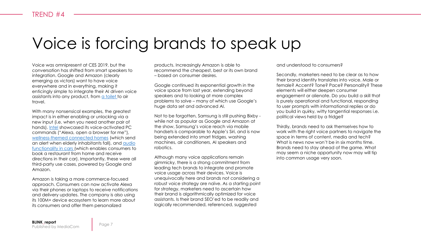### Voice is forcing brands to speak up

Voice was omnipresent at CES 2019, but the conversation has shifted from smart speakers to integration. Google and Amazon (clearly emerging as victors) want to have voice everywhere and in everything, making it enticingly simple to integrate their AI driven voice assistants into any product, from [a toilet t](https://www.us.kohler.com/us/Numi-2.0-Intelligent-toilet-with-KOHLER-Konnect/content/CNT134400007.htm)o air travel.

With many nonsensical examples, the greatest impact is in either enabling or unlocking via a new input (i.e. when you need another pair of hands). [Intel](https://www.intel.com/content/www/us/en/architecture-and-technology/smart-sound-technology.html) showcased its voice-activated PC commands ("Alexa, open a browser for me"), [wellness-themed connected homes](https://vayyar.com/smart-home/) (which send an alert when elderly inhabitants fall), and audio [functionality in cars \(which enables consumers to](https://developer.amazon.com/alexa-voice-service/alexa-auto-sdk) book a restaurant from home and receive directions in their car). Importantly, these were all third-party use cases, powered by Google and Amazon.

Amazon is taking a more commerce-focused approach. Consumers can now activate Alexa via their phones or laptops to receive notifications and delivery updates. The company is also using its 100M+ device ecosystem to learn more about its consumers and offer them personalized

products. Increasingly Amazon is able to recommend the cheapest, best or its own brand – based on consumer desires.

Google continued its exponential growth in the voice space from last year, extending beyond speakers and to looking at more complex problems to solve – many of which use Google's huge data set and advanced AI.

Not to be forgotten, Samsung is still pushing Bixby while not as popular as Google and Amazon at the show, Samsung's voice reach via mobile handsets is comparable to Apple's Siri, and is now being extended into smart fridges, washing machines, air conditioners, AI speakers and robotics.

Although many voice applications remain gimmicky, there is a strong commitment from leading tech brands to integrate and promote voice usage across their devices. Voice is unequivocally here and brands not considering a robust voice strategy are naïve. As a starting point for strategy, marketers need to ascertain how their brand is algorithmically optimized for voice assistants. Is their brand SEO'ed to be readily and logically recommended, referenced, suggested

and understood to consumers?

Secondly, marketers need to be clear as to how their brand identity translates into voice. Male or female? Accent? Tone? Pace? Personality? These elements will either deepen consumer engagement or alienate. Do you build a skill that is purely operational and functional, responding to user prompts with informational replies or do you build in quirky, witty tangential responses i.e. political views held by a fridge?

Thirdly, brands need to ask themselves how to work with the right voice partners to navigate the space in terms of content, media and tech? What is news now won't be in six months time. Brands need to stay ahead of the game. What may seem a niche opportunity now may will tip into common usage very soon.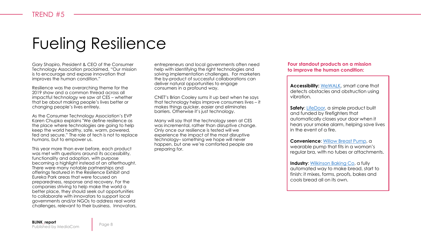### Fueling Resilience

Gary Shapiro, President & CEO of the Consumer Technology Association proclaimed, "Our mission is to encourage and expose innovation that improves the human condition."

Resilience was the overarching theme for the 2019 show and a common thread across all impactful technology we saw at CES – whether that be about making people's lives better or changing people's lives entirely.

As the Consumer Technology Association's EVP Karen Chupka explains "We define resilience as the place where technologies are going to help keep the world healthy, safe, warm, powered, fed and secure." The role of tech is not to replace humans, but to empower us.

This year more than ever before, each product was met with questions around its accessibility. functionality and adoption, with purpose becoming a highlight instead of an afterthought. There were many notable partnerships and offerings featured in the Resilience Exhibit and Eureka Park areas that were focused on preparedness, response and recovery. For the companies striving to help make the world a better place, they should seek out opportunities to collaborate with innovators to support local governments and/or NGOs to address real world challenges, relevant to their business. Innovators,

entrepreneurs and local governments often need help with identifying the right technologies and solving implementation challenges. For marketers the by-product of successful collaborations can deliver natural opportunities to engage consumers in a profound way.

CNET's Brian Cooley sums it up best when he says that technology helps improve consumers lives – it makes things quicker, easier and eliminates barriers. Otherwise it's just technology.

Many will say that the technology seen at CES was incremental, rather than disruptive change. Only once our resilience is tested will we experience the impact of the most disruptive technology– something we hope will never happen, but one we're comforted people are preparing for.

**Four standout products on a mission to improve the human condition:** 

**Accessibility:** [WeWALK,](https://wewalk.io/) smart cane that detects obstacles and obstruction using vibration.

automatically closes your door when it<br>hears your smoke alarm, helping save lives **Safety:** [LifeDoor](https://www.lifedoor.io/), a simple product built and funded by firefighters that automatically closes your door when it in the event of a fire.

**Convenience**: [Willow Breast Pump](https://shop.willowpump.com/), a wearable pump that fits in a woman's regular bra, with no tubes or attachments.

**Industry:** [Wilkinson Baking Co](https://www.wilkinsonbaking.com/), a fully automated way to make bread, start to finish: it mixes, forms, proofs, bakes and cools bread all on its own.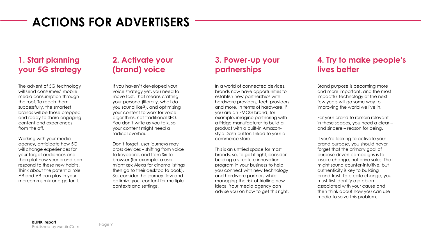### **ACTIONS FOR ADVERTISERS**

#### **1. Start planning your 5G strategy**

The advent of 5G technology will send consumers' mobile media consumption through the roof. To reach them successfully, the smartest brands will be those prepped and ready to share engaging content and experiences from the off.

Working with your media agency, anticipate how 5G will change experiences for your target audiences and then plot how your brand can respond to these new habits. Think about the potential role AR and VR can play in your marcomms mix and go for it.

#### **2. Activate your (brand) voice**

If you haven't developed your voice strategy yet, you need to move fast. That means crafting your persona (literally, what do you sound like?), and optimizing your content to work for voice algorithms, not traditional SEO. You don't write as you talk, so your content might need a radical overhaul.

Don't forget, user journeys may cross devices – shifting from voice to keyboard, and from Siri to browser (for example, a user might ask Alexa for cinema listings then go to their desktop to book). So, consider the journey flow and optimize your content for multiple contexts and settings.

#### **3. Power-up your partnerships**

In a world of connected devices, brands now have opportunities to establish new partnerships with hardware providers, tech providers and more. In terms of hardware, if you are an FMCG brand, for example, imagine partnering with a fridge manufacturer to build a product with a built-in Amazonstyle Dash button linked to your ecommerce store.

This is an untried space for most brands, so, to get it right, consider building a structure innovation program in your business to help you connect with new technology and hardware partners while managing the risk of trialling new ideas. Your media agency can advise you on how to get this right.

#### **4. Try to make people's lives better**

Brand purpose is becoming more and more important, and the most impactful technology of the next few years will go some way to improving the world we live in.

For your brand to remain relevant in these spaces, you need a clear – and sincere – reason for being.

If you're looking to activate your brand purpose, you should never forget that the primary goal of purpose-driven campaigns is to inspire change, not drive sales. That might sound counter-intuitive, but authenticity is key to building brand trust. To create change, you must first identify a problem associated with your cause and then think about how you can use media to solve this problem.